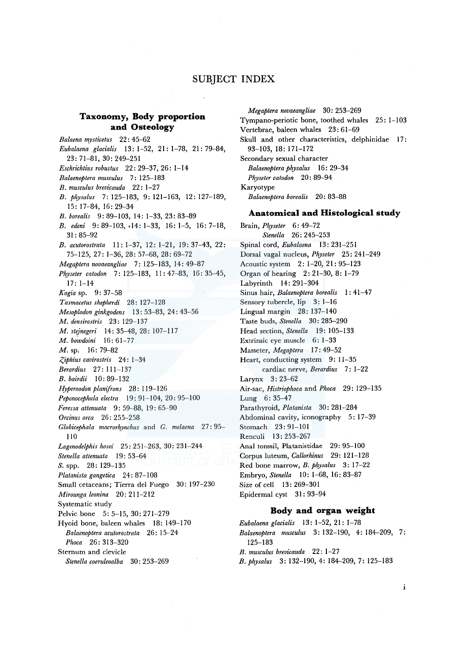# SUBJECT INDEX

## **Taxonomy, Body proportion and Osteology**

*Balaena mysticetus* 22 : 45-62 *Eubalaena glacialis* 13: 1-52, 21: 1-78, 21: 79-84, 23:71-81, 30:249-251 *Eschrichtius robustus* 22: 29-37, 26: 1-14 *Balaenoptera musculus* 7: 125-183 *B. musculus brevicauda* 22: 1-27 *B. physalus* 7: 125-183, 9: 121-163, 12: 127-189, 15: 17-84, 16: 29-34 *B. borealis* 9: 89-103, 14: 1-33, 23: 83-89 *B. edeni* 9: 89-103, ·14: 1-33, 16: 1-5, 16: 7-18, 31: 85-92 *B. acutorostrata* 11: 1-37, 12: 1-21, 19: 37-43, 22: 75-125, 27: 1-36, 28: 57-68, 28: 69-72 *Megaptera novaeangliae* 7: 125-183, 14: 49-87 *Physeter catodon* 7: 125-183, 11:47-83, 16:35-45, 17: 1-14 *Kogia* sp. 9: 37-58 *Tasmacetus shepherdi* 28: 127-128 *Mesoplodon ginkgodens* 13: 53-83, 24: 43-56 *M. densirostris* 23: 129-137 *M. stejnegeri* 14: 35-48, 28: 107-117 *M. bowdoini* 16: 61-77 M. sp. 16: 79-82 *.<:Jphius cavirostris* 24: 1-34 *Berardius* 27: 111-137 *B. bairdii* JO: 89-132 *Hyperoodon planifrons* 28: 119-126 *Peponocephala electra* 19: 91-104, 20: 95-100 *Feressa attenuata* 9: 59-88, 19: 65-90 *Orcinus orca* 26: 255-258 *Globicephala macrorkynchus* and *G. melaena* 27: 95- 110 *Lagenodelphis hosei* 25: 251-263, 30: 231-244 *Stenella attenuata* l 9: 53-64 *S.* spp. 28: 129-135 *Platanista gangetica* 24: 87-108 Small cetaceans; Tierra de! Fuego 30: 197-230 *Mirounga leonina* 20: 211-212 Systematic study Pelvic bone 5: 5-15, 30: 271-279 Hyoid bone, baleen whales 18: 149-170 *Balaenoptera acutorostrata* 26: 15-24 *Phoca* 26: 313-320 Sternum and clevicle *Stene/la coeruleoalba* 30: 253-269

*Megaptera novaeangliae* 30: 253-269 Tympano-periotic bone, toothed whales 25: 1-103 Vertebrae, baleen whales 23: 61-69 Skull and other characteristics, delphinidae 17: 93-103, 18: 171-172 Secondary sexual character *Balaenoptera physalus* 16: 29-34 *Physeter catodon* 20: 89-94 Karyotype *Balaenoptera borealis* 20: 83-88

## **Anatomical and Histological study**

Brain, *Physeter* 6: 49-72 *Stenella* 26: 245-253 Spinal cord, *Eubalaena* 13: 231-251 Dorsal vagal nucleus, *Physeter* 25: 241-249 Acoustic system 2: 1-20, 21: 95-123 Organ of hearing 2: 21-30, 8: 1-79 Labyrinth 14: 291-304 Sinus hair, *Balaenoptera borealis* 1: 41-47 Sensory tubercle, lip 3: 1-16 Lingual margin 28: 137-140 Taste buds, *Stenella* 30: 285-290 Head section, *Stenella* 19: 105-133 Extrinsic eye muscle 6: 1-33 Masseter, *Megaptera* 17: 49-52 Heart, conducting system 9: 11-35 cardiac nerve, *Berardius* 7: 1-22 Larynx 3: 23-62 Air-sac, *Histriophoca* and *Phoca* 29: 129-135 Lung 6: 35-47 Parathyroid, *Platanista* 30: 281-284 Abdominal cavity, iconography 5: 17-39 Stomach 23: 91-101 Renculi 13: 253-267 Anal tonssil, Platanistidae 29: 95-100 Corpus luteum, *Callorhinus* 29: 121-128 Red bone marrow, *B. physalus* 3: 17-22 Embryo, *Stenella* 10: 1-68, 16: 83-87 Size of cell 13: 269-301 Epidermal cyst 31: 93-94

#### **Body and organ weight**

*Eubalaena glacialis* 13: 1-52, 21: 1-78 *Balaenoptera musculus* 3: 132-190, 4: 184-209, 7: 125-183 *B. musculus brevicauda* 22: 1-27

*B. physalus* 3: 132-190, 4: 184-209, 7: 125-183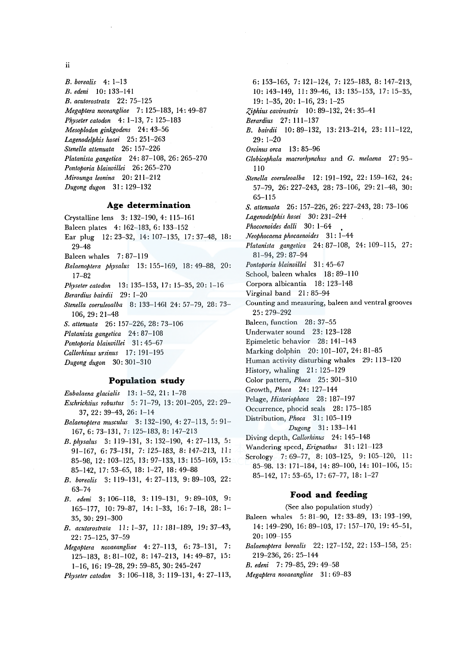ii

*B. horealis* 4: 1-13 *B. edeni* 10: !33-141 *B. acutorostrata* 22: 75-125 *Megaptera noveangliae* 7: 125-183, 14: 49-87 *Physeter catodon* 4: 1-13, 7: 125-183 *Mesoplodon ginkgodens* 24: 43-56 *Lagenodelphis hosei* 25: 251-263 *Stenella attenuata* 26: 157-226 *Platanista gangetica* 24: 87-108, 26: 265-270 *Pontoporia hlainvillei* 26: 265-270 *Mirounga leonina* 20: 211-212 *Dugong dugon* 31: 129-132

## **Age determination**

- Crystalline lens 3: 132-190, 4: 115-161 Baleen plates 4: 162-183, 6: 133-152 Ear plug 12: 23-32, 14: 107-135, 17: 37-48, 18: 29-48 Baleen whales 7: 87-119 *Balaenoptera physalus* 13: 155-169, 18: 49-88, 20: 17-82
- *Physeter catodon* 13: 135-153, 17: 15-35, 20: 1-16
- *Berardius bairdii* 29: 1-20
- *Stenella coeruleoalha* 8: 133-1461 24: 57-79, 28: 73- 106, 29: 21-48
- *S. attenuata* 26: 157-226, 28: 73-106
- *Platanista gangetica* 24: 87-108
- *Pontoporia hlainvillei* 31 : 45-67
- *Callorhinus ursinus* 17: 191-195
- *Dugong dugon* 30: 301-310

#### **Population study**

- *Euhalaena glacialis* 13: 1-52, 21 : 1-78 *Eschrichtius robustus* 5: 71-79, 13: 201-205, 22: 29-
- 37, 22: 39-43, 26: 1-14 *Balaenoptera musculus* 3: 132-190, 4: 27-113, 5: 91-
- 167, 6: 73-131, 7: 125-183, 8: 147-213
- *B.physalus* 3: 119-131, 3: 132-190, 4: 27-113, 5: 91-167, 6: 73-131, 7: 125-183, 8: 147-213, 11: 85-98, 12: 103-125, 13: 97-133, 13: 155-169, 15: 85-142, 17: 53-65, 18: 1-27, 18: 49-88
- *B. horealis* 3: 119-131, 4: 27-113, 9: 89-103, 22: 63-74
- *B. edeni* 3: 106-118, 3: 119-131, 9:89-103, 9: 165-177, 10: 79-87, 14: 1-33, 16: 7-18, 28: 1- 35, 30: 291-300
- *B. acutorostrata* 11: l-37, 11: 181-189, 19: 37-43, 22: 75-125, 37-59
- *Megaptera novaeangliae* 4: 27-113, 6: 73-131, 7: 125-183, 8: 81-102, 8: 147-213, 14: 49-87, 15: 1-16, 16: 19-28, 29: 59-85, 30: 245-247

```
Physeter catodon 3: 106-118, 3: 119-131, 4: 27-113,
```
6: 153-165, 7: 121-124, 7: 125-183, 8: 147-213, 10: 143-149, 11: 39-46, 13: 135-153, 17: 15-35, 19: 1-35, 20: 1-16, 23: 1-25 *:(,iphius cavirostris* 10: 89-132, 24: 35-41 *Berardius* 27: 111-137 *B. hairdii* 10: 89-132, 13: 213-214, 23: 111-122, 29: 1-20 *Orcinus orca* 13 : 85-96 *Glohicephala macrorhynchus* and *G. melaena* 27: 95- 110 *Stenella coeruleoalba* 12: 191-192, 22: 159-162, 24: 57-79, 26: 227-243, 28: 73-106, 29: 21-48, 30: 65-115 *S. attenuata* 26: 157-226, 26: 227-243, 28: 73-106 *Lagenodelphis hosei* 30: 231-244 *Phocoenoides dalli* 30: 1-64 *Neophocaena phocaenoides* 31 : 1-44 *Platanista gangetica* 24: 87-108, 24: 109-115, 27: 81-94, 29: 87-94 *Pontoporia blainvillei* 31 : 45-67 School, baleen whales 18: 89-110 Corpora albicantia 18: 123-148 Virginal band  $21:85-94$ Counting and measuring, baleen and ventral grooves 25: 279-292 Baleen, function 28: 37-55 Underwater sound 23: 123-128 Epimeletic behavior 28: 141-143 Marking dolphin 20: 101-107, 24: 81-85 Human activity disturbing whales 29: 113-120 History, whaling 21: 125-129 Colar pattern, *Phoca* 25: 301-310 Growth, *Phoca* 24: 127-144 Pelage, *Historiophoca* 28: 187-197 Occurrence, phocid seals 28: 175-185 Distribution, *Phoca* 31: 105-119 *Dugong* 31: 133-141 Diving depth, *Callorhinus* 24: 145-148 Wandering speed, *Erignathus* 31: 121-123 Serology 7: 69-77, 8: 103-125, 9: 105-120, 11: 85-98. 13: 171-184, 14: 89-100, 14: 101-106, 15: 85-142, 17: 53-65, 17: 67-77, 18: 1-27

### **Food and feeding**

- (See also population study)
- Baleen whales 5: 81-90, 12: 33-89, 13: 193-199, 14: 149-290, 16: 89-103, 17: 157-170, 19: 45-51, 20: 109-155
- *Balaenoptera horealis* 22: 127-152, 22: 153-158, 25: 219-236, 26: 25-144
- *B. edeni* 7: 79-85, 29: 49-58
- *Megaptera novaeangliae* 31 : 69-83